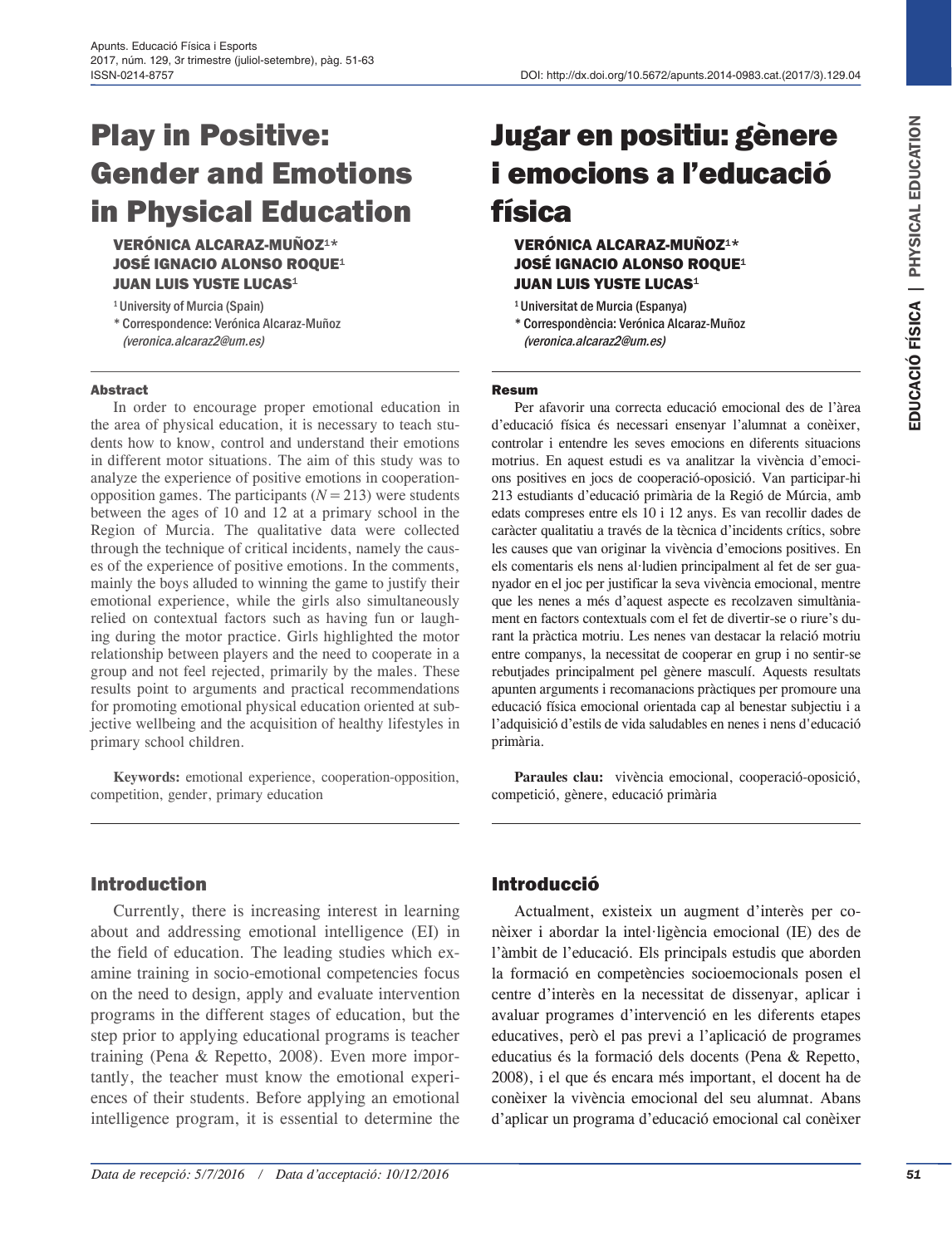# Play in Positive: Gender and Emotions in Physical Education

VERÓNICA ALCARAZ-MUÑOZ1\* JOSÉ IGNACIO ALONSO ROQUE<sup>1</sup> **JUAN LUIS YUSTE LUCAS<sup>1</sup>** 

1University of Murcia (Spain) \* Correspondence: Verónica Alcaraz-Muñoz [\(veronica.alcaraz2@um.es\)](mailto:veronica.alcaraz2@um.es)

#### Abstract

In order to encourage proper emotional education in the area of physical education, it is necessary to teach students how to know, control and understand their emotions in different motor situations. The aim of this study was to analyze the experience of positive emotions in cooperationopposition games. The participants  $(N=213)$  were students between the ages of 10 and 12 at a primary school in the Region of Murcia. The qualitative data were collected through the technique of critical incidents, namely the causes of the experience of positive emotions. In the comments, mainly the boys alluded to winning the game to justify their emotional experience, while the girls also simultaneously relied on contextual factors such as having fun or laughing during the motor practice. Girls highlighted the motor relationship between players and the need to cooperate in a group and not feel rejected, primarily by the males. These results point to arguments and practical recommendations for promoting emotional physical education oriented at subjective wellbeing and the acquisition of healthy lifestyles in primary school children.

**Keywords:** emotional experience, cooperation-opposition, competition, gender, primary education

# Jugar en positiu: gènere i emocions a l'educació física

## VERÓNICA ALCARAZ-MUÑOZ1\* JOSÉ IGNACIO ALONSO ROQUE<sup>1</sup> **JUAN LUIS YUSTE LUCAS<sup>1</sup>**

1Universitat de Murcia (Espanya) \* Correspondència: Verónica Alcaraz-Muñoz [\(veronica.alcaraz2@um.es\)](mailto:veronica.alcaraz2@um.es)

#### Resum

Per afavorir una correcta educació emocional des de l'àrea d'educació física és necessari ensenyar l'alumnat a conèixer, controlar i entendre les seves emocions en diferents situacions motrius. En aquest estudi es va analitzar la vivència d'emocions positives en jocs de cooperació-oposició. Van participar-hi 213 estudiants d'educació primària de la Regió de Múrcia, amb edats compreses entre els 10 i 12 anys. Es van recollir dades de caràcter qualitatiu a través de la tècnica d'incidents crítics, sobre les causes que van originar la vivència d'emocions positives. En els comentaris els nens al·ludien principalment al fet de ser guanyador en el joc per justificar la seva vivència emocional, mentre que les nenes a més d'aquest aspecte es recolzaven simultàniament en factors contextuals com el fet de divertir-se o riure's durant la pràctica motriu. Les nenes van destacar la relació motriu entre companys, la necessitat de cooperar en grup i no sentir-se rebutjades principalment pel gènere masculí. Aquests resultats apunten arguments i recomanacions pràctiques per promoure una educació física emocional orientada cap al benestar subjectiu i a l'adquisició d'estils de vida saludables en nenes i nens d'educació primària.

**Paraules clau:** vivència emocional, cooperació-oposició, competició, gènere, educació primària

## Introduction

Currently, there is increasing interest in learning about and addressing emotional intelligence (EI) in the field of education. The leading studies which examine training in socio-emotional competencies focus on the need to design, apply and evaluate intervention programs in the different stages of education, but the step prior to applying educational programs is teacher training (Pena & Repetto, 2008). Even more importantly, the teacher must know the emotional experiences of their students. Before applying an emotional intelligence program, it is essential to determine the

## Introducció

Actualment, existeix un augment d'interès per conèixer i abordar la intel·ligència emocional (IE) des de l'àmbit de l'educació. Els principals estudis que aborden la formació en competències socioemocionals posen el centre d'interès en la necessitat de dissenyar, aplicar i avaluar programes d'intervenció en les diferents etapes educatives, però el pas previ a l'aplicació de programes educatius és la formació dels docents (Pena & Repetto, 2008), i el que és encara més important, el docent ha de conèixer la vivència emocional del seu alumnat. Abans d'aplicar un programa d'educació emocional cal conèixer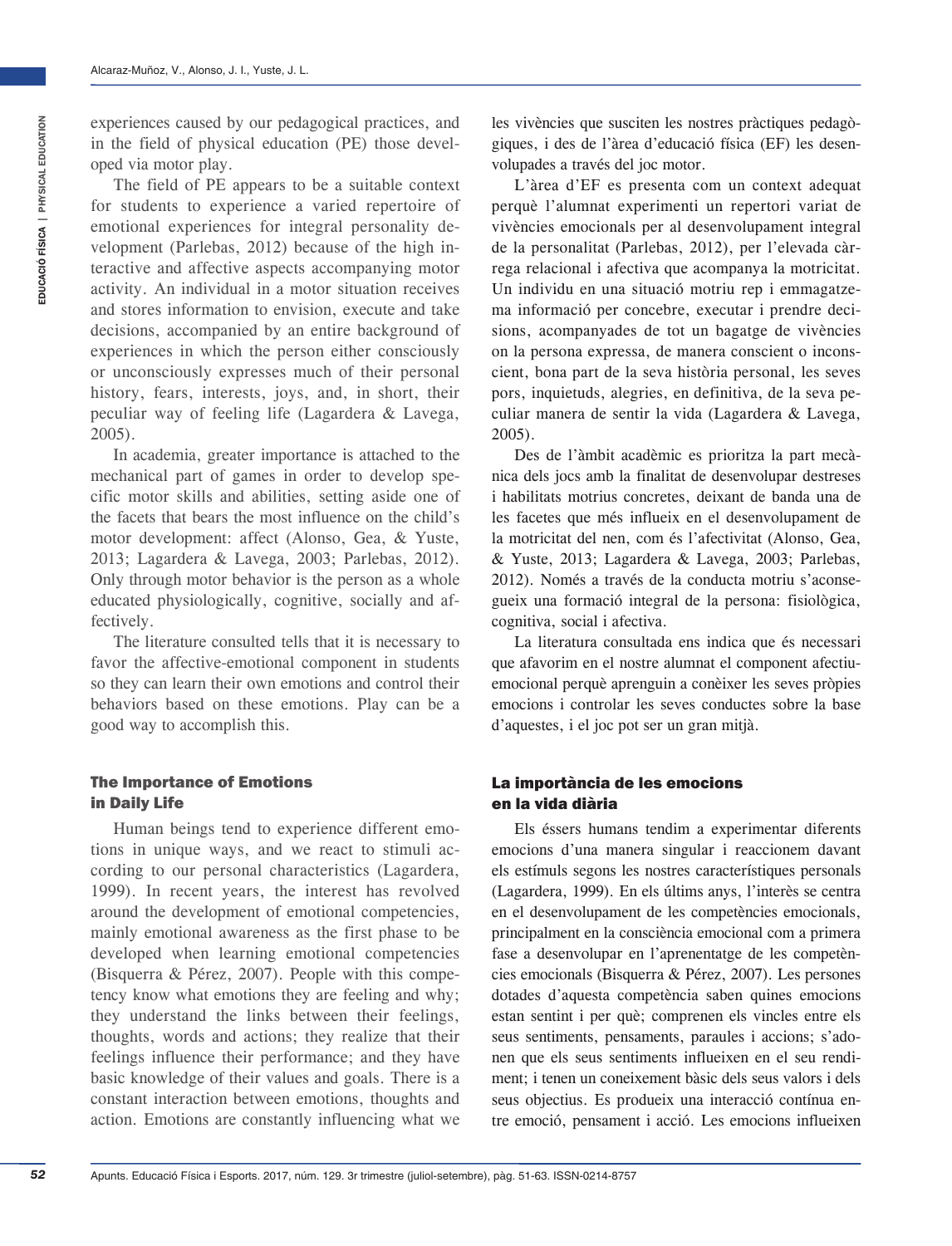experiences caused by our pedagogical practices, and in the field of physical education (PE) those developed via motor play.

The field of PE appears to be a suitable context for students to experience a varied repertoire of emotional experiences for integral personality development (Parlebas, 2012) because of the high interactive and affective aspects accompanying motor activity. An individual in a motor situation receives and stores information to envision, execute and take decisions, accompanied by an entire background of experiences in which the person either consciously or unconsciously expresses much of their personal history, fears, interests, joys, and, in short, their peculiar way of feeling life (Lagardera & Lavega, 2005).

In academia, greater importance is attached to the mechanical part of games in order to develop specific motor skills and abilities, setting aside one of the facets that bears the most influence on the child's motor development: affect (Alonso, Gea, & Yuste, 2013; Lagardera & Lavega, 2003; Parlebas, 2012). Only through motor behavior is the person as a whole educated physiologically, cognitive, socially and affectively.

The literature consulted tells that it is necessary to favor the affective-emotional component in students so they can learn their own emotions and control their behaviors based on these emotions. Play can be a good way to accomplish this.

## The Importance of Emotions in Daily Life

Human beings tend to experience different emotions in unique ways, and we react to stimuli according to our personal characteristics (Lagardera, 1999). In recent years, the interest has revolved around the development of emotional competencies, mainly emotional awareness as the first phase to be developed when learning emotional competencies (Bisquerra & Pérez, 2007). People with this competency know what emotions they are feeling and why; they understand the links between their feelings, thoughts, words and actions; they realize that their feelings influence their performance; and they have basic knowledge of their values and goals. There is a constant interaction between emotions, thoughts and action. Emotions are constantly influencing what we

les vivències que susciten les nostres pràctiques pedagògiques, i des de l'àrea d'educació física (EF) les desenvolupades a través del joc motor.

L'àrea d'EF es presenta com un context adequat perquè l'alumnat experimenti un repertori variat de vivències emocionals per al desenvolupament integral de la personalitat (Parlebas, 2012), per l'elevada càrrega relacional i afectiva que acompanya la motricitat. Un individu en una situació motriu rep i emmagatzema informació per concebre, executar i prendre decisions, acompanyades de tot un bagatge de vivències on la persona expressa, de manera conscient o inconscient, bona part de la seva història personal, les seves pors, inquietuds, alegries, en definitiva, de la seva peculiar manera de sentir la vida (Lagardera & Lavega, 2005).

Des de l'àmbit acadèmic es prioritza la part mecànica dels jocs amb la finalitat de desenvolupar destreses i habilitats motrius concretes, deixant de banda una de les facetes que més influeix en el desenvolupament de la motricitat del nen, com és l'afectivitat (Alonso, Gea, & Yuste, 2013; Lagardera & Lavega, 2003; Parlebas, 2012). Només a través de la conducta motriu s'aconsegueix una formació integral de la persona: fisiològica, cognitiva, social i afectiva.

La literatura consultada ens indica que és necessari que afavorim en el nostre alumnat el component afectiuemocional perquè aprenguin a conèixer les seves pròpies emocions i controlar les seves conductes sobre la base d'aquestes, i el joc pot ser un gran mitjà.

## La importància de les emocions en la vida diària

Els éssers humans tendim a experimentar diferents emocions d'una manera singular i reaccionem davant els estímuls segons les nostres característiques personals (Lagardera, 1999). En els últims anys, l'interès se centra en el desenvolupament de les competències emocionals, principalment en la consciència emocional com a primera fase a desenvolupar en l'aprenentatge de les competències emocionals (Bisquerra & Pérez, 2007). Les persones dotades d'aquesta competència saben quines emocions estan sentint i per què; comprenen els vincles entre els seus sentiments, pensaments, paraules i accions; s'adonen que els seus sentiments influeixen en el seu rendiment; i tenen un coneixement bàsic dels seus valors i dels seus objectius. Es produeix una interacció contínua entre emoció, pensament i acció. Les emocions influeixen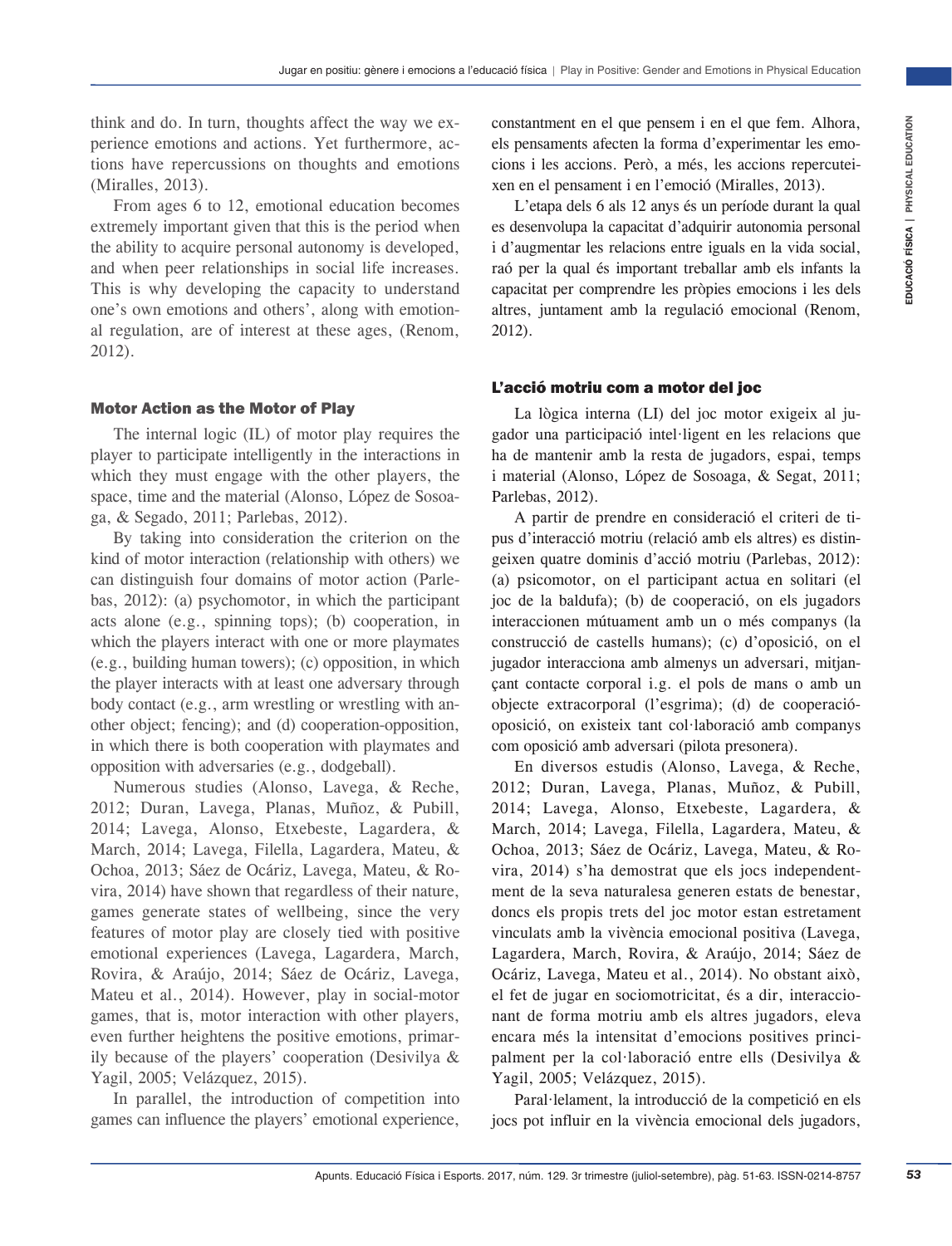think and do. In turn, thoughts affect the way we experience emotions and actions. Yet furthermore, actions have repercussions on thoughts and emotions (Miralles, 2013).

From ages 6 to 12, emotional education becomes extremely important given that this is the period when the ability to acquire personal autonomy is developed, and when peer relationships in social life increases. This is why developing the capacity to understand one's own emotions and others', along with emotional regulation, are of interest at these ages, (Renom, 2012).

#### Motor Action as the Motor of Play

The internal logic (IL) of motor play requires the player to participate intelligently in the interactions in which they must engage with the other players, the space, time and the material (Alonso, López de Sosoaga, & Segado, 2011; Parlebas, 2012).

By taking into consideration the criterion on the kind of motor interaction (relationship with others) we can distinguish four domains of motor action (Parlebas, 2012): (a) psychomotor, in which the participant acts alone (e.g., spinning tops); (b) cooperation, in which the players interact with one or more playmates (e.g., building human towers); (c) opposition, in which the player interacts with at least one adversary through body contact (e.g., arm wrestling or wrestling with another object; fencing); and (d) cooperation-opposition, in which there is both cooperation with playmates and opposition with adversaries (e.g., dodgeball).

Numerous studies (Alonso, Lavega, & Reche, 2012; Duran, Lavega, Planas, Muñoz, & Pubill, 2014; Lavega, Alonso, Etxebeste, Lagardera, & March, 2014; Lavega, Filella, Lagardera, Mateu, & Ochoa, 2013; Sáez de Ocáriz, Lavega, Mateu, & Rovira, 2014) have shown that regardless of their nature, games generate states of wellbeing, since the very features of motor play are closely tied with positive emotional experiences (Lavega, Lagardera, March, Rovira, & Araújo, 2014; Sáez de Ocáriz, Lavega, Mateu et al., 2014). However, play in social-motor games, that is, motor interaction with other players, even further heightens the positive emotions, primarily because of the players' cooperation (Desivilya & Yagil, 2005; Velázquez, 2015).

In parallel, the introduction of competition into games can influence the players' emotional experience,

constantment en el que pensem i en el que fem. Alhora, els pensaments afecten la forma d'experimentar les emocions i les accions. Però, a més, les accions repercuteixen en el pensament i en l'emoció (Miralles, 2013).

L'etapa dels 6 als 12 anys és un període durant la qual es desenvolupa la capacitat d'adquirir autonomia personal i d'augmentar les relacions entre iguals en la vida social, raó per la qual és important treballar amb els infants la capacitat per comprendre les pròpies emocions i les dels altres, juntament amb la regulació emocional (Renom, 2012).

#### L'acció motriu com a motor del joc

La lògica interna (LI) del joc motor exigeix al jugador una participació intel·ligent en les relacions que ha de mantenir amb la resta de jugadors, espai, temps i material (Alonso, López de Sosoaga, & Segat, 2011; Parlebas, 2012).

A partir de prendre en consideració el criteri de tipus d'interacció motriu (relació amb els altres) es distingeixen quatre dominis d'acció motriu (Parlebas, 2012): (a) psicomotor, on el participant actua en solitari (el joc de la baldufa); (b) de cooperació, on els jugadors interaccionen mútuament amb un o més companys (la construcció de castells humans); (c) d'oposició, on el jugador interacciona amb almenys un adversari, mitjançant contacte corporal i.g. el pols de mans o amb un objecte extracorporal (l'esgrima); (d) de cooperacióoposició, on existeix tant col·laboració amb companys com oposició amb adversari (pilota presonera).

If The two yeves the continuous of duck powers. Proposition is not due form. Alto all position is considered to the set and the particular temperature is the period when its set all changes is all changes in the continuous En diversos estudis (Alonso, Lavega, & Reche, 2012; Duran, Lavega, Planas, Muñoz, & Pubill, 2014; Lavega, Alonso, Etxebeste, Lagardera, & March, 2014; Lavega, Filella, Lagardera, Mateu, & Ochoa, 2013; Sáez de Ocáriz, Lavega, Mateu, & Rovira, 2014) s'ha demostrat que els jocs independentment de la seva naturalesa generen estats de benestar, doncs els propis trets del joc motor estan estretament vinculats amb la vivència emocional positiva (Lavega, Lagardera, March, Rovira, & Araújo, 2014; Sáez de Ocáriz, Lavega, Mateu et al., 2014). No obstant això, el fet de jugar en sociomotricitat, és a dir, interaccionant de forma motriu amb els altres jugadors, eleva encara més la intensitat d'emocions positives principalment per la col·laboració entre ells (Desivilya & Yagil, 2005; Velázquez, 2015).

Paral·lelament, la introducció de la competició en els jocs pot influir en la vivència emocional dels jugadors,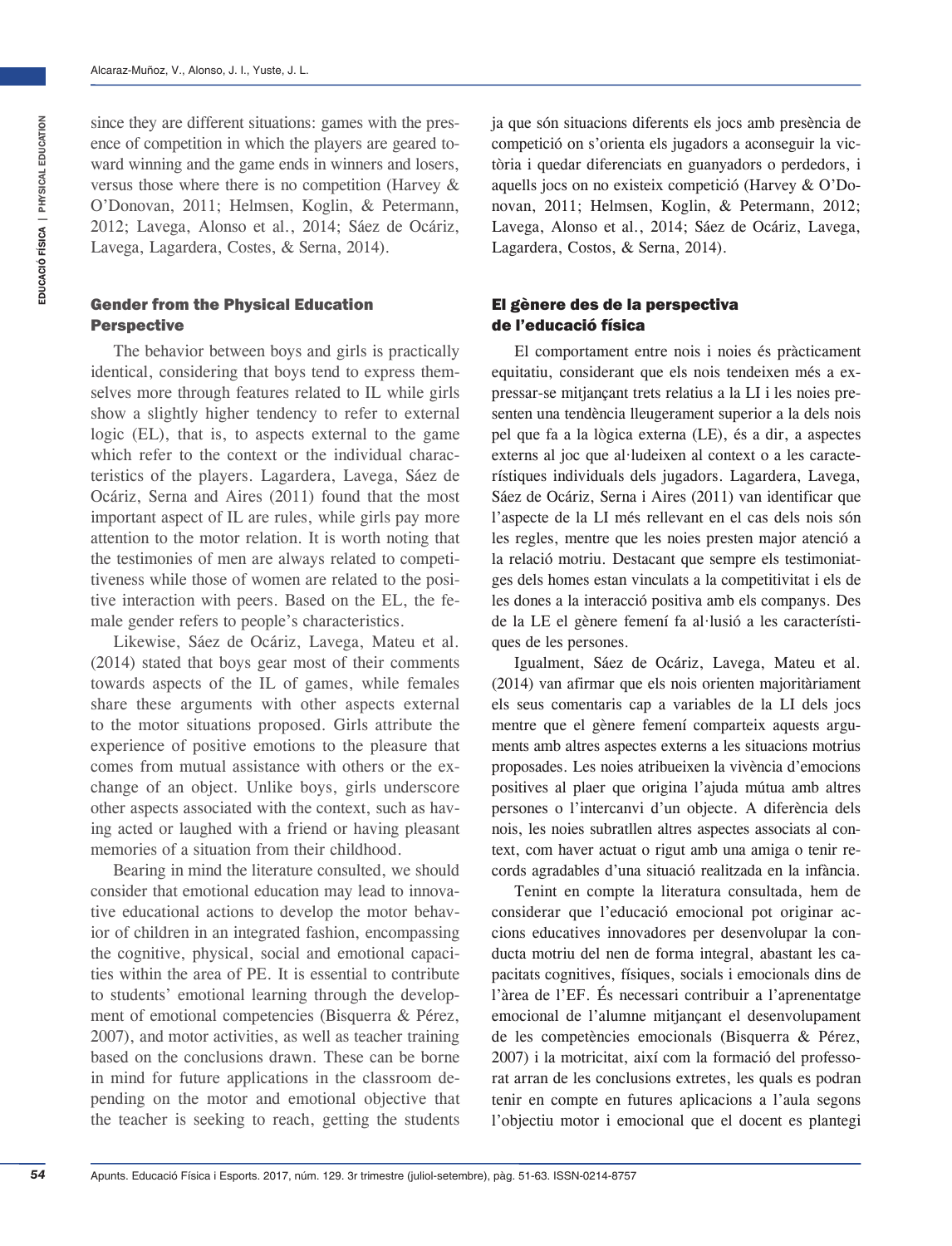since they are different situations: games with the presence of competition in which the players are geared toward winning and the game ends in winners and losers, versus those where there is no competition (Harvey & O'Donovan, 2011; Helmsen, Koglin, & Petermann, 2012; Lavega, Alonso et al., 2014; Sáez de Ocáriz, Lavega, Lagardera, Costes, & Serna, 2014).

## Gender from the Physical Education Perspective

The behavior between boys and girls is practically identical, considering that boys tend to express themselves more through features related to IL while girls show a slightly higher tendency to refer to external logic (EL), that is, to aspects external to the game which refer to the context or the individual characteristics of the players. Lagardera, Lavega, Sáez de Ocáriz, Serna and Aires (2011) found that the most important aspect of IL are rules, while girls pay more attention to the motor relation. It is worth noting that the testimonies of men are always related to competitiveness while those of women are related to the positive interaction with peers. Based on the EL, the female gender refers to people's characteristics.

Likewise, Sáez de Ocáriz, Lavega, Mateu et al. (2014) stated that boys gear most of their comments towards aspects of the IL of games, while females share these arguments with other aspects external to the motor situations proposed. Girls attribute the experience of positive emotions to the pleasure that comes from mutual assistance with others or the exchange of an object. Unlike boys, girls underscore other aspects associated with the context, such as having acted or laughed with a friend or having pleasant memories of a situation from their childhood.

Bearing in mind the literature consulted, we should consider that emotional education may lead to innovative educational actions to develop the motor behavior of children in an integrated fashion, encompassing the cognitive, physical, social and emotional capacities within the area of PE. It is essential to contribute to students' emotional learning through the development of emotional competencies (Bisquerra & Pérez, 2007), and motor activities, as well as teacher training based on the conclusions drawn. These can be borne in mind for future applications in the classroom depending on the motor and emotional objective that the teacher is seeking to reach, getting the students

ja que són situacions diferents els jocs amb presència de competició on s'orienta els jugadors a aconseguir la victòria i quedar diferenciats en guanyadors o perdedors, i aquells jocs on no existeix competició (Harvey & O'Donovan, 2011; Helmsen, Koglin, & Petermann, 2012; Lavega, Alonso et al., 2014; Sáez de Ocáriz, Lavega, Lagardera, Costos, & Serna, 2014).

## El gènere des de la perspectiva de l'educació física

El comportament entre nois i noies és pràcticament equitatiu, considerant que els nois tendeixen més a expressar-se mitjançant trets relatius a la LI i les noies presenten una tendència lleugerament superior a la dels nois pel que fa a la lògica externa (LE), és a dir, a aspectes externs al joc que al·ludeixen al context o a les característiques individuals dels jugadors. Lagardera, Lavega, Sáez de Ocáriz, Serna i Aires (2011) van identificar que l'aspecte de la LI més rellevant en el cas dels nois són les regles, mentre que les noies presten major atenció a la relació motriu. Destacant que sempre els testimoniatges dels homes estan vinculats a la competitivitat i els de les dones a la interacció positiva amb els companys. Des de la LE el gènere femení fa al·lusió a les característiques de les persones.

Igualment, Sáez de Ocáriz, Lavega, Mateu et al. (2014) van afirmar que els nois orienten majoritàriament els seus comentaris cap a variables de la LI dels jocs mentre que el gènere femení comparteix aquests arguments amb altres aspectes externs a les situacions motrius proposades. Les noies atribueixen la vivència d'emocions positives al plaer que origina l'ajuda mútua amb altres persones o l'intercanvi d'un objecte. A diferència dels nois, les noies subratllen altres aspectes associats al context, com haver actuat o rigut amb una amiga o tenir records agradables d'una situació realitzada en la infància.

Tenint en compte la literatura consultada, hem de considerar que l'educació emocional pot originar accions educatives innovadores per desenvolupar la conducta motriu del nen de forma integral, abastant les capacitats cognitives, físiques, socials i emocionals dins de l'àrea de l'EF. És necessari contribuir a l'aprenentatge emocional de l'alumne mitjançant el desenvolupament de les competències emocionals (Bisquerra & Pérez, 2007) i la motricitat, així com la formació del professorat arran de les conclusions extretes, les quals es podran tenir en compte en futures aplicacions a l'aula segons l'objectiu motor i emocional que el docent es plantegi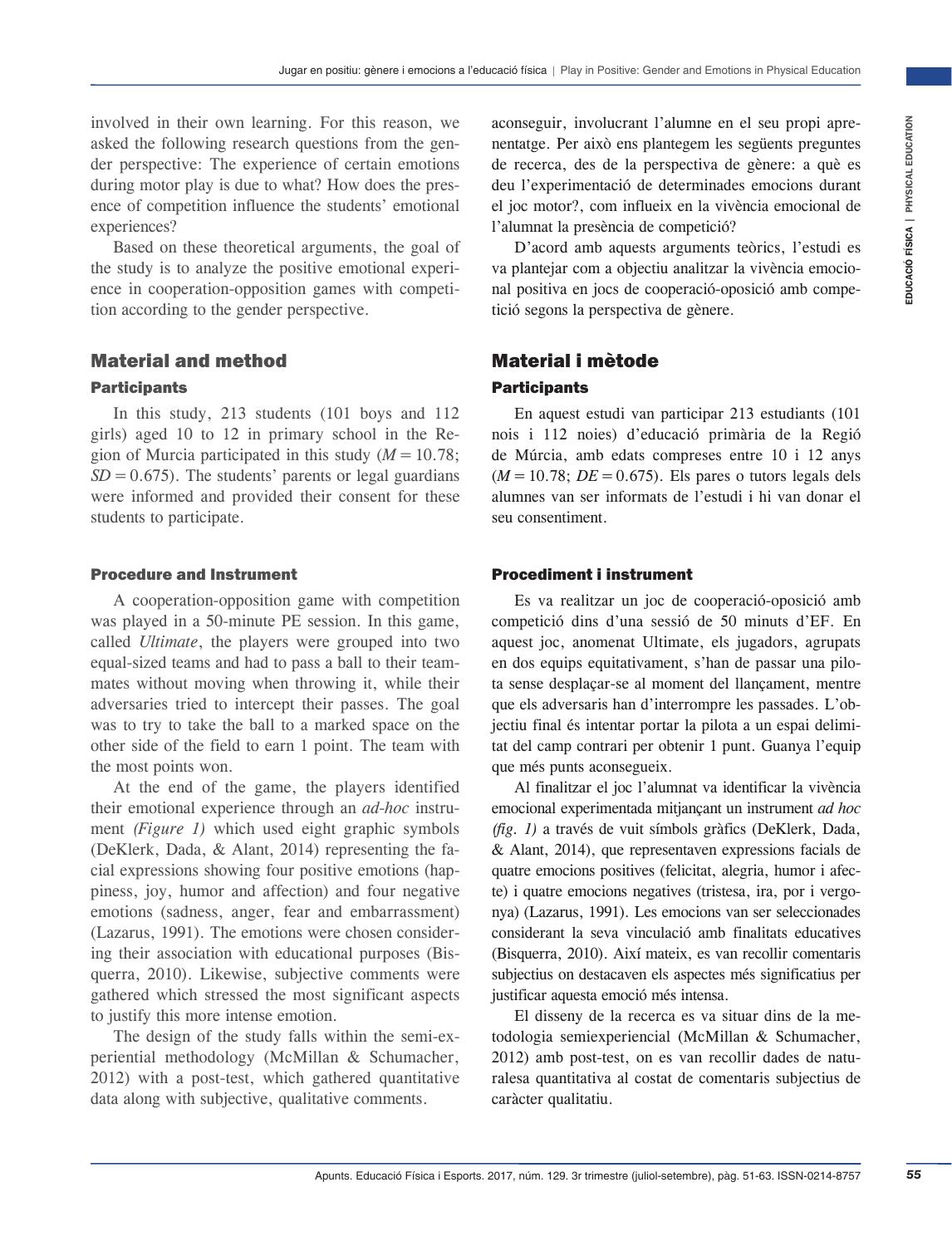involved in their own learning. For this reason, we asked the following research questions from the gender perspective: The experience of certain emotions during motor play is due to what? How does the presence of competition influence the students' emotional experiences?

Based on these theoretical arguments, the goal of the study is to analyze the positive emotional experience in cooperation-opposition games with competition according to the gender perspective.

# Material and method **Participants**

In this study, 213 students (101 boys and 112 girls) aged 10 to 12 in primary school in the Region of Murcia participated in this study (*M*=10.78;  $SD = 0.675$ . The students' parents or legal guardians were informed and provided their consent for these students to participate.

#### Procedure and Instrument

A cooperation-opposition game with competition was played in a 50-minute PE session. In this game, called *Ultimate*, the players were grouped into two equal-sized teams and had to pass a ball to their teammates without moving when throwing it, while their adversaries tried to intercept their passes. The goal was to try to take the ball to a marked space on the other side of the field to earn 1 point. The team with the most points won.

At the end of the game, the players identified their emotional experience through an *ad-hoc* instrument *(Figure 1)* which used eight graphic symbols (DeKlerk, Dada, & Alant, 2014) representing the facial expressions showing four positive emotions (happiness, joy, humor and affection) and four negative emotions (sadness, anger, fear and embarrassment) (Lazarus, 1991). The emotions were chosen considering their association with educational purposes (Bisquerra, 2010). Likewise, subjective comments were gathered which stressed the most significant aspects to justify this more intense emotion.

The design of the study falls within the semi-experiential methodology (McMillan & Schumacher, 2012) with a post-test, which gathered quantitative data along with subjective, qualitative comments.

aconseguir, involucrant l'alumne en el seu propi aprenentatge. Per això ens plantegem les següents preguntes de recerca, des de la perspectiva de gènere: a què es deu l'experimentació de determinades emocions durant el joc motor?, com influeix en la vivència emocional de l'alumnat la presència de competició?

D'acord amb aquests arguments teòrics, l'estudi es va plantejar com a objectiu analitzar la vivència emocional positiva en jocs de cooperació-oposició amb competició segons la perspectiva de gènere.

# Material i mètode **Participants**

En aquest estudi van participar 213 estudiants (101 nois i 112 noies) d'educació primària de la Regió de Múrcia, amb edats compreses entre 10 i 12 anys  $(M = 10.78; DE = 0.675)$ . Els pares o tutors legals dels alumnes van ser informats de l'estudi i hi van donar el seu consentiment.

#### Procediment i instrument

Es va realitzar un joc de cooperació-oposició amb competició dins d'una sessió de 50 minuts d'EF. En aquest joc, anomenat Ultimate, els jugadors, agrupats en dos equips equitativament, s'han de passar una pilota sense desplaçar-se al moment del llançament, mentre que els adversaris han d'interrompre les passades. L'objectiu final és intentar portar la pilota a un espai delimitat del camp contrari per obtenir 1 punt. Guanya l'equip que més punts aconsegueix.

For this teason, we also state in the state is stated to the state in the state in the state in the state is trivial content in the state is trivial content of the state is trivial content of the state is the state in the Al finalitzar el joc l'alumnat va identificar la vivència emocional experimentada mitjançant un instrument *ad hoc (fig. 1)* a través de vuit símbols gràfics (DeKlerk, Dada, & Alant, 2014), que representaven expressions facials de quatre emocions positives (felicitat, alegria, humor i afecte) i quatre emocions negatives (tristesa, ira, por i vergonya) (Lazarus, 1991). Les emocions van ser seleccionades considerant la seva vinculació amb finalitats educatives (Bisquerra, 2010). Així mateix, es van recollir comentaris subjectius on destacaven els aspectes més significatius per justificar aquesta emoció més intensa.

El disseny de la recerca es va situar dins de la metodologia semiexperiencial (McMillan & Schumacher, 2012) amb post-test, on es van recollir dades de naturalesa quantitativa al costat de comentaris subjectius de caràcter qualitatiu.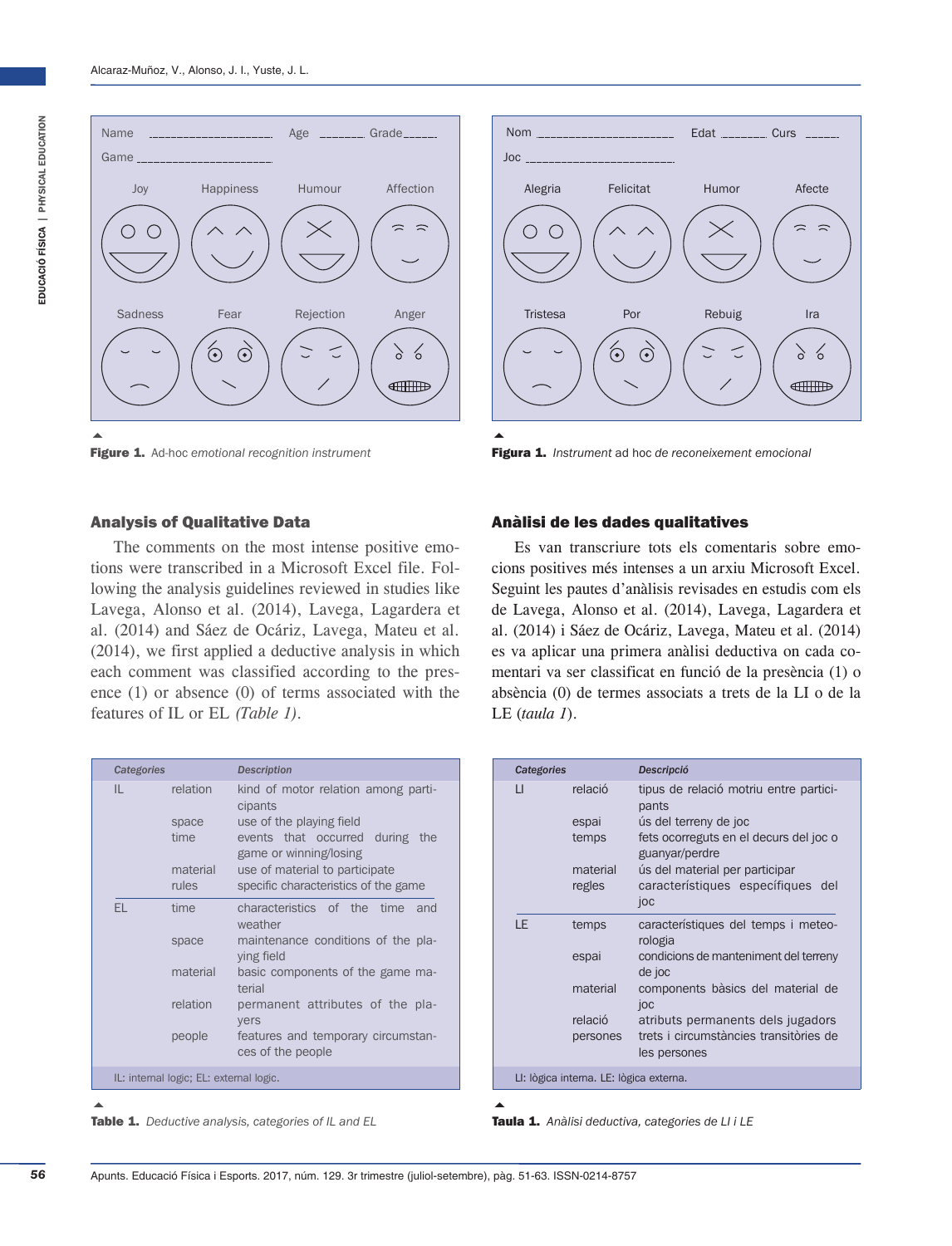





Figura 1. *Instrument* ad hoc *de reconeixement emocional*

#### Analysis of Qualitative Data

The comments on the most intense positive emotions were transcribed in a Microsoft Excel file. Following the analysis guidelines reviewed in studies like Lavega, Alonso et al. (2014), Lavega, Lagardera et al. (2014) and Sáez de Ocáriz, Lavega, Mateu et al. (2014), we first applied a deductive analysis in which each comment was classified according to the presence (1) or absence (0) of terms associated with the features of IL or EL *(Table 1).*

| Categories |                                         | <b>Description</b>                                                                    |
|------------|-----------------------------------------|---------------------------------------------------------------------------------------|
| IL.        | relation                                | kind of motor relation among parti-<br>cipants                                        |
|            | space<br>time                           | use of the playing field<br>events that occurred during the<br>game or winning/losing |
|            | material<br>rules                       | use of material to participate<br>specific characteristics of the game                |
| FL.        | time                                    | characteristics of the time<br>– and<br>weather                                       |
|            | space                                   | maintenance conditions of the pla-<br>ying field                                      |
|            | material                                | basic components of the game ma-<br>terial                                            |
|            | relation                                | permanent attributes of the pla-<br>yers                                              |
|            | people                                  | features and temporary circumstan-<br>ces of the people                               |
|            | IL: internal logic; EL: external logic. |                                                                                       |





Anàlisi de les dades qualitatives

Es van transcriure tots els comentaris sobre emocions positives més intenses a un arxiu Microsoft Excel. Seguint les pautes d'anàlisis revisades en estudis com els de Lavega, Alonso et al. (2014), Lavega, Lagardera et al. (2014) i Sáez de Ocáriz, Lavega, Mateu et al. (2014) es va aplicar una primera anàlisi deductiva on cada comentari va ser classificat en funció de la presència (1) o absència (0) de termes associats a trets de la LI o de la LE (*taula 1*).

| Categories |                                                   | Descripció                                                                                                                                                                                                                                   |
|------------|---------------------------------------------------|----------------------------------------------------------------------------------------------------------------------------------------------------------------------------------------------------------------------------------------------|
| П          | relació<br>espai<br>temps<br>material<br>regles   | tipus de relació motriu entre partici-<br>pants<br>ús del terreny de joc<br>fets ocorreguts en el decurs del joc o<br>guanyar/perdre<br>ús del material per participar<br>característiques específiques del<br>joc                           |
| LE         | temps<br>espai<br>material<br>relació<br>persones | característiques del temps i meteo-<br>rologia<br>condicions de manteniment del terreny<br>de joc<br>components bàsics del material de<br>joc<br>atributs permanents dels jugadors<br>trets i circumstàncies transitòries de<br>les persones |
|            | LI: lògica interna. LE: lògica externa.           |                                                                                                                                                                                                                                              |

 $\blacktriangle$ 

Taula 1. *Anàlisi deductiva, categories de LI i LE*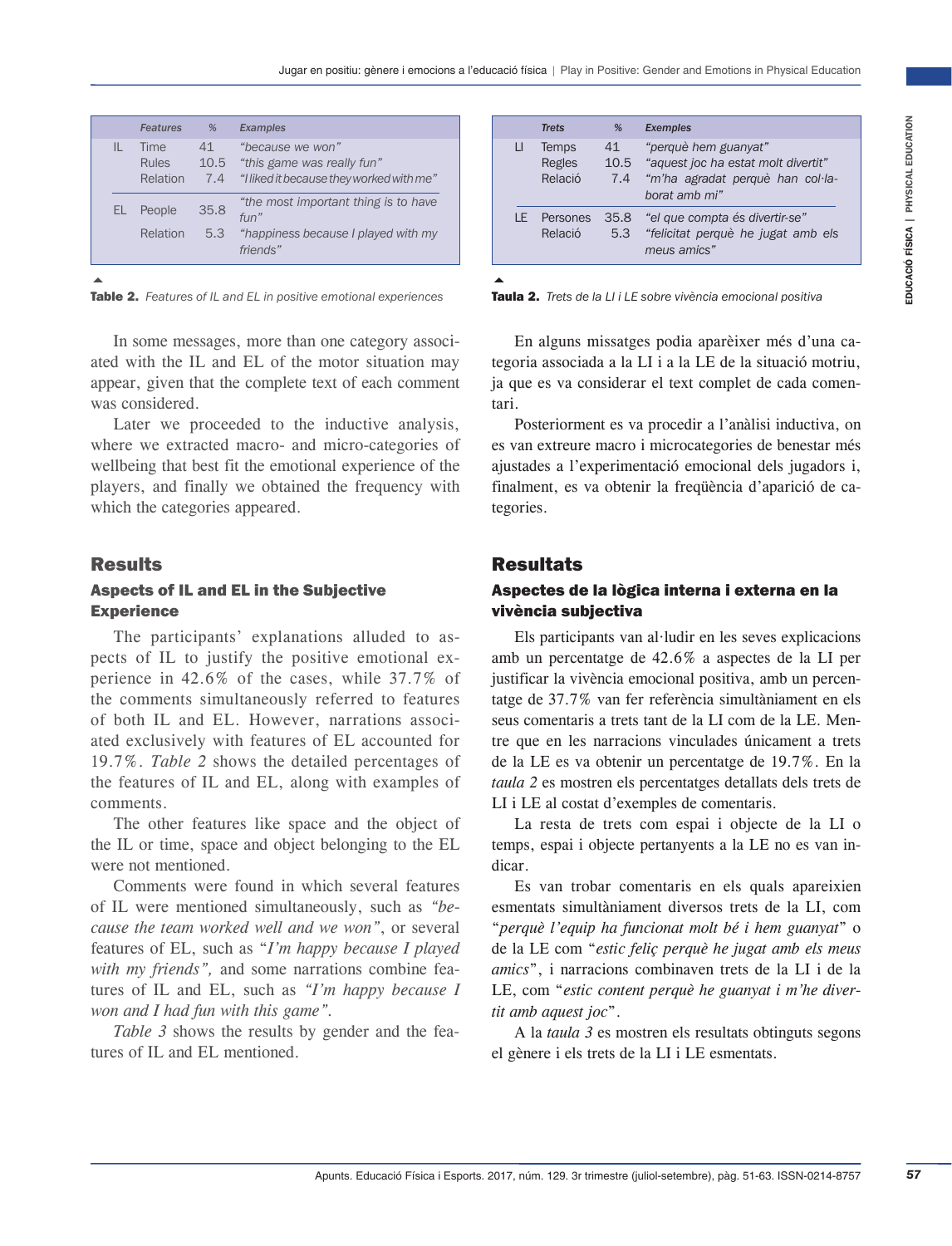|     | <b>Features</b>                         | %                 | <b>Examples</b>                                                                                  |
|-----|-----------------------------------------|-------------------|--------------------------------------------------------------------------------------------------|
| IL  | <b>Time</b><br><b>Rules</b><br>Relation | 41<br>10.5<br>7.4 | "because we won"<br>"this game was really fun"<br>"I liked it because they worked with me"       |
| EL. | People<br>Relation                      | 35.8<br>5.3       | "the most important thing is to have<br>fun''<br>"happiness because I played with my<br>friends" |

 $\blacktriangle$ 

Table 2. *Features of IL and EL in positive emotional experiences*

In some messages, more than one category associated with the IL and EL of the motor situation may appear, given that the complete text of each comment was considered.

Later we proceeded to the inductive analysis, where we extracted macro- and micro-categories of wellbeing that best fit the emotional experience of the players, and finally we obtained the frequency with which the categories appeared.

# **Results**

# Aspects of IL and EL in the Subjective **Experience**

The participants' explanations alluded to aspects of IL to justify the positive emotional experience in 42.6% of the cases, while 37.7% of the comments simultaneously referred to features of both IL and EL. However, narrations associated exclusively with features of EL accounted for 19.7%. *Table 2* shows the detailed percentages of the features of IL and EL, along with examples of comments.

The other features like space and the object of the IL or time, space and object belonging to the EL were not mentioned.

Comments were found in which several features of IL were mentioned simultaneously, such as *"because the team worked well and we won"*, or several features of EL, such as "*I'm happy because I played with my friends",* and some narrations combine features of IL and EL, such as *"I'm happy because I won and I had fun with this game".*

*Table 3* shows the results by gender and the features of IL and EL mentioned.

|    | <b>Trets</b>                      | %                 | <b>Exemples</b>                                                                                                  |
|----|-----------------------------------|-------------------|------------------------------------------------------------------------------------------------------------------|
| LI | <b>Temps</b><br>Regles<br>Relació | 41<br>10.5<br>7.4 | "perquè hem guanyat"<br>"aquest joc ha estat molt divertit"<br>"m'ha agradat perquè han col·la-<br>borat amb mi" |
| ΙF | Persones<br>Relació               | 35.8<br>5.3       | "el que compta és divertir-se"<br>"felicitat perquè he jugat amb els<br>meus amics"                              |
|    |                                   |                   |                                                                                                                  |

Taula 2. *Trets de la LI i LE sobre vivència emocional positiva*

En alguns missatges podia aparèixer més d'una categoria associada a la LI i a la LE de la situació motriu, ja que es va considerar el text complet de cada comentari.

Posteriorment es va procedir a l'anàlisi inductiva, on es van extreure macro i microcategories de benestar més ajustades a l'experimentació emocional dels jugadors i, finalment, es va obtenir la freqüència d'aparició de categories.

# **Resultats**

## Aspectes de la lògica interna i externa en la vivència subjectiva

Applies the most of the most state in the set of the most of the most of the most of the most of the most of the most of the most of the most of the most of the most of the most of the most of the most of the most of the Els participants van al·ludir en les seves explicacions amb un percentatge de 42.6% a aspectes de la LI per justificar la vivència emocional positiva, amb un percentatge de 37.7% van fer referència simultàniament en els seus comentaris a trets tant de la LI com de la LE. Mentre que en les narracions vinculades únicament a trets de la LE es va obtenir un percentatge de 19.7%. En la *taula 2* es mostren els percentatges detallats dels trets de LI i LE al costat d'exemples de comentaris.

La resta de trets com espai i objecte de la LI o temps, espai i objecte pertanyents a la LE no es van indicar.

Es van trobar comentaris en els quals apareixien esmentats simultàniament diversos trets de la LI, com "*perquè l'equip ha funcionat molt bé i hem guanyat*" o de la LE com "*estic feliç perquè he jugat amb els meus amics*", i narracions combinaven trets de la LI i de la LE, com "*estic content perquè he guanyat i m'he divertit amb aquest joc*".

A la *taula 3* es mostren els resultats obtinguts segons el gènere i els trets de la LI i LE esmentats.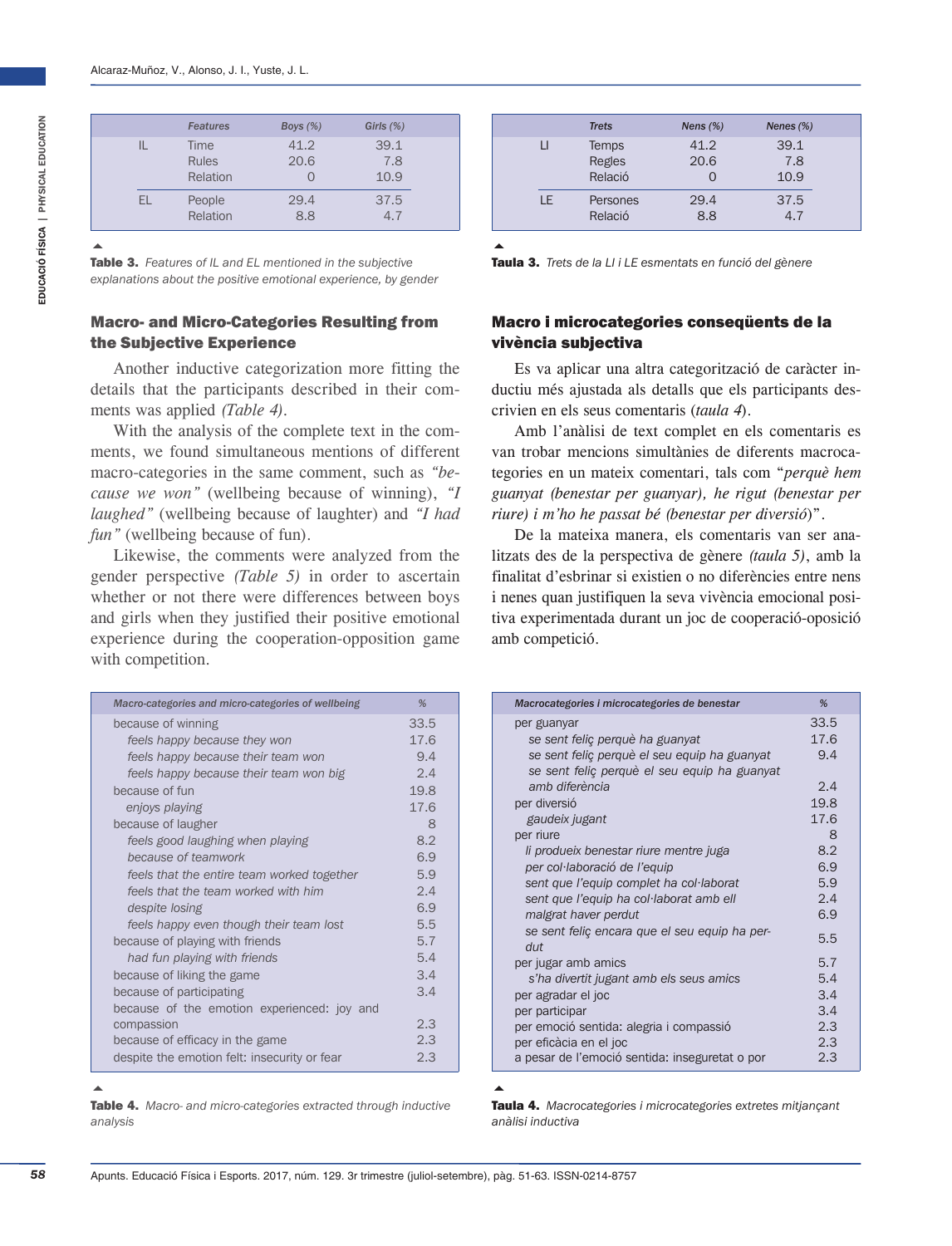|     | <b>Features</b>                  | Boys $(\%)$  | Girls $(\%)$        |
|-----|----------------------------------|--------------|---------------------|
|     | Time<br><b>Rules</b><br>Relation | 41.2<br>20.6 | 39.1<br>7.8<br>10.9 |
| EL. | People<br>Relation               | 29.4<br>8.8  | 37.5<br>47          |

 $\blacktriangle$ 

Table 3. *Features of IL and EL mentioned in the subjective explanations about the positive emotional experience, by gender*

#### Macro- and Micro-Categories Resulting from the Subjective Experience

Another inductive categorization more fitting the details that the participants described in their comments was applied *(Table 4).*

With the analysis of the complete text in the comments, we found simultaneous mentions of different macro-categories in the same comment, such as *"because we won"* (wellbeing because of winning), *"I laughed"* (wellbeing because of laughter) and *"I had fun"* (wellbeing because of fun).

Likewise, the comments were analyzed from the gender perspective *(Table 5)* in order to ascertain whether or not there were differences between boys and girls when they justified their positive emotional experience during the cooperation-opposition game with competition.

| Macro-categories and micro-categories of wellbeing | %    |
|----------------------------------------------------|------|
| because of winning                                 | 33.5 |
| feels happy because they won                       | 17.6 |
| feels happy because their team won                 | 9.4  |
| feels happy because their team won big             | 2.4  |
| because of fun                                     | 19.8 |
| enjoys playing                                     | 17.6 |
| because of laugher                                 | 8    |
| feels good laughing when playing                   | 8.2  |
| because of teamwork                                | 6.9  |
| feels that the entire team worked together         | 5.9  |
| feels that the team worked with him                | 2.4  |
| despite losing                                     | 6.9  |
| feels happy even though their team lost            | 5.5  |
| because of playing with friends                    | 5.7  |
| had fun playing with friends                       | 5.4  |
| because of liking the game                         | 3.4  |
| because of participating                           | 3.4  |
| because of the emotion experienced: joy and        |      |
| compassion                                         | 2.3  |
| because of efficacy in the game                    | 2.3  |
| despite the emotion felt: insecurity or fear       | 2.3  |

|     | <b>Trets</b>               | Nens $(\%)$  | Nenes $(\%)$        |
|-----|----------------------------|--------------|---------------------|
| П   | Temps<br>Regles<br>Relació | 41.2<br>20.6 | 39.1<br>7.8<br>10.9 |
| I F | Persones<br>Relació        | 29.4<br>8.8  | 37.5<br>4.7         |

 $\blacktriangle$ 

Taula 3. *Trets de la LI i LE esmentats en funció del gènere*

## Macro i microcategories conseqüents de la vivència subjectiva

Es va aplicar una altra categorització de caràcter inductiu més ajustada als detalls que els participants descrivien en els seus comentaris (*taula 4*).

Amb l'anàlisi de text complet en els comentaris es van trobar mencions simultànies de diferents macrocategories en un mateix comentari, tals com "*perquè hem guanyat (benestar per guanyar), he rigut (benestar per riure) i m'ho he passat bé (benestar per diversió*)".

De la mateixa manera, els comentaris van ser analitzats des de la perspectiva de gènere *(taula 5)*, amb la finalitat d'esbrinar si existien o no diferències entre nens i nenes quan justifiquen la seva vivència emocional positiva experimentada durant un joc de cooperació-oposició amb competició.

| Macrocategories i microcategories de benestar  | %    |
|------------------------------------------------|------|
| per guanyar                                    | 33.5 |
| se sent feliç perquè ha guanyat                | 17.6 |
| se sent feliç perquè el seu equip ha guanyat   | 9.4  |
| se sent feliç perquè el seu equip ha guanyat   |      |
| amb diferència                                 | 2.4  |
| per diversió                                   | 19.8 |
| gaudeix jugant                                 | 17.6 |
| per riure                                      | 8    |
| li produeix benestar riure mentre juga         | 8.2  |
| per col·laboració de l'equip                   | 6.9  |
| sent que l'equip complet ha col·laborat        | 5.9  |
| sent que l'equip ha col·laborat amb ell        | 2.4  |
| malgrat haver perdut                           | 6.9  |
| se sent feliç encara que el seu equip ha per-  | 5.5  |
| $d$ ut                                         |      |
| per jugar amb amics                            | 5.7  |
| s'ha divertit jugant amb els seus amics        | 5.4  |
| per agradar el joc                             | 3.4  |
| per participar                                 | 3.4  |
| per emoció sentida: alegria i compassió        | 2.3  |
| per eficàcia en el joc                         | 2.3  |
| a pesar de l'emoció sentida: inseguretat o por | 2.3  |

# $\blacktriangle$

Table 4. *Macro- and micro-categories extracted through inductive analysis*

#### $\blacktriangle$

Taula 4. *Macrocategories i microcategories extretes mitjançant anàlisi inductiva*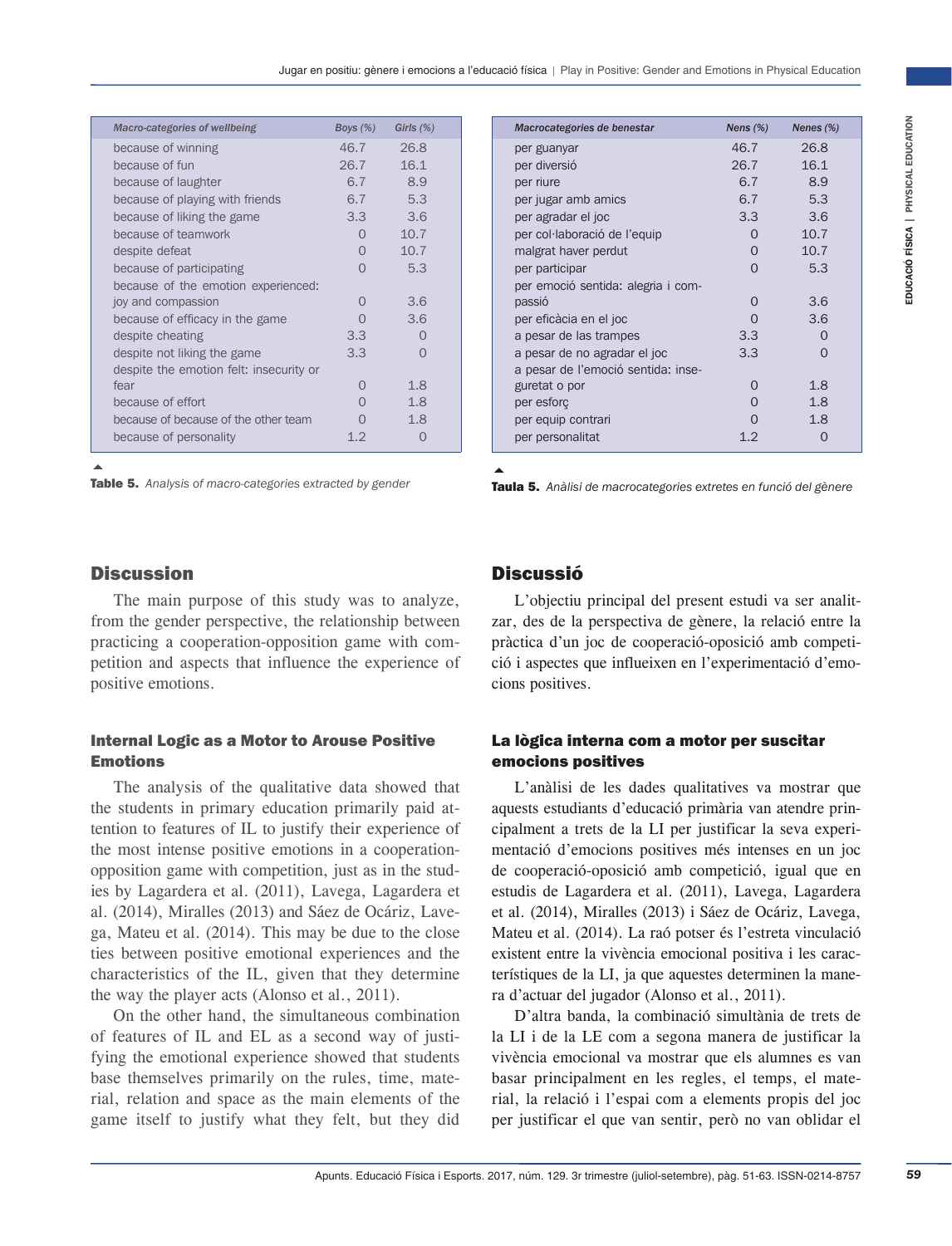| Macro-categories of wellbeing           | Boys $(\%)$      | Girls $(\%)$ |
|-----------------------------------------|------------------|--------------|
| because of winning                      | 46.7             | 26.8         |
| because of fun                          | 26.7             | 16.1         |
| because of laughter                     | 6.7              | 8.9          |
| because of playing with friends         | 6.7              | 5.3          |
| because of liking the game              | 3.3 <sup>°</sup> | 3.6          |
| because of teamwork                     | $\cap$           | 10.7         |
| despite defeat                          | $\Omega$         | 10.7         |
| because of participating                | $\cap$           | 5.3          |
| because of the emotion experienced:     |                  |              |
| joy and compassion                      | $\cap$           | 3.6          |
| because of efficacy in the game         |                  | 3.6          |
| despite cheating                        | 3.3 <sup>°</sup> |              |
| despite not liking the game             | 3.3              | $\cap$       |
| despite the emotion felt: insecurity or |                  |              |
| fear                                    |                  | 1.8          |
| because of effort                       |                  | 1.8          |
| because of because of the other team    |                  | 1.8          |
| because of personality                  | 1.2              |              |

 $\blacktriangle$ Table 5. *Analysis of macro-categories extracted by gender*

## **Discussion**

The main purpose of this study was to analyze, from the gender perspective, the relationship between practicing a cooperation-opposition game with competition and aspects that influence the experience of positive emotions.

## Internal Logic as a Motor to Arouse Positive Emotions

The analysis of the qualitative data showed that the students in primary education primarily paid attention to features of IL to justify their experience of the most intense positive emotions in a cooperationopposition game with competition, just as in the studies by Lagardera et al. (2011), Lavega, Lagardera et al. (2014), Miralles (2013) and Sáez de Ocáriz, Lavega, Mateu et al. (2014). This may be due to the close ties between positive emotional experiences and the characteristics of the IL, given that they determine the way the player acts (Alonso et al., 2011).

On the other hand, the simultaneous combination of features of IL and EL as a second way of justifying the emotional experience showed that students base themselves primarily on the rules, time, material, relation and space as the main elements of the game itself to justify what they felt, but they did

|    | Boys $(\%)$            | Girls $(\%)$                               | Macrocategories de benestar                                                                                                           | Nens $(%)$                                               | Nenes $(\%)$   |  |
|----|------------------------|--------------------------------------------|---------------------------------------------------------------------------------------------------------------------------------------|----------------------------------------------------------|----------------|--|
|    | 46.7                   | 26.8                                       | per guanyar                                                                                                                           | 46.7                                                     | 26.8           |  |
|    | 26.7                   | 16.1                                       | per diversió                                                                                                                          | 26.7                                                     | 16.1           |  |
|    | 6.7                    | 8.9                                        | per riure                                                                                                                             | 6.7                                                      | 8.9            |  |
|    | 6.7                    | 5.3                                        | per jugar amb amics                                                                                                                   | 6.7                                                      | 5.3            |  |
|    | 3.3                    | 3.6                                        | per agradar el joc                                                                                                                    | 3.3                                                      | 3.6            |  |
|    | $\circ$                | 10.7                                       | per col·laboració de l'equip                                                                                                          | 0                                                        | 10.7           |  |
|    | 0<br>$\circ$           | 10.7<br>5.3                                | malgrat haver perdut<br>per participar                                                                                                | $\mathbf{O}$<br>0                                        | 10.7<br>5.3    |  |
| I, |                        |                                            | per emoció sentida: alegria i com-                                                                                                    |                                                          |                |  |
|    | $\circ$                | 3.6                                        | passió                                                                                                                                | 0                                                        | 3.6            |  |
|    | $\overline{O}$         | 3.6                                        | per eficàcia en el joc                                                                                                                | $\Omega$                                                 | 3.6            |  |
|    | 3.3                    | $\circ$                                    | a pesar de las trampes                                                                                                                | 3.3                                                      | $\overline{0}$ |  |
|    | 3.3                    | $\overline{O}$                             | a pesar de no agradar el joc                                                                                                          | 3.3                                                      | $\mathbf{O}$   |  |
| r  |                        |                                            | a pesar de l'emoció sentida: inse-                                                                                                    |                                                          |                |  |
|    | $\circ$                | 1.8                                        | guretat o por                                                                                                                         | 0                                                        | 1.8            |  |
|    | $\circ$                | 1.8                                        | per esforç                                                                                                                            | 0                                                        | 1.8            |  |
|    | $\circ$                | 1.8                                        | per equip contrari                                                                                                                    | 0                                                        | 1.8            |  |
|    | 1.2                    | $\circ$                                    | per personalitat                                                                                                                      | 1.2                                                      | $\overline{0}$ |  |
|    |                        | ion game with com-<br>ce the experience of | pràctica d'un joc de cooperació-oposició amb competi-<br>ció i aspectes que influeixen en l'experimentació d'emo-<br>cions positives. |                                                          |                |  |
|    | <b>Arouse Positive</b> |                                            | La lògica interna com a motor per suscitar<br>emocions positives                                                                      |                                                          |                |  |
|    |                        | ve data showed that                        | L'anàlisi de les dades qualitatives va mostrar que                                                                                    |                                                          |                |  |
|    |                        | on primarily paid at-                      | aquests estudiants d'educació primària van atendre prin-                                                                              |                                                          |                |  |
|    |                        | ly their experience of                     | cipalment a trets de la LI per justificar la seva experi-                                                                             |                                                          |                |  |
|    |                        |                                            |                                                                                                                                       |                                                          |                |  |
|    |                        | ons in a cooperation-                      | mentació d'emocions positives més intenses en un joc                                                                                  |                                                          |                |  |
|    |                        | n, just as in the stud-                    | de cooperació-oposició amb competició, igual que en                                                                                   |                                                          |                |  |
|    |                        | Lavega, Lagardera et                       | estudis de Lagardera et al. (2011), Lavega, Lagardera                                                                                 |                                                          |                |  |
|    |                        | áez de Ocáriz, Lave-                       | et al. (2014), Miralles (2013) i Sáez de Ocáriz, Lavega,                                                                              |                                                          |                |  |
|    |                        | ty be due to the close                     | Mateu et al. (2014). La raó potser és l'estreta vinculació                                                                            |                                                          |                |  |
|    |                        | experiences and the                        | existent entre la vivència emocional positiva i les carac-                                                                            |                                                          |                |  |
|    |                        | that they determine                        | terístiques de la LI, ja que aquestes determinen la mane-                                                                             |                                                          |                |  |
|    | et al., $2011$ ).      |                                            | ra d'actuar del jugador (Alonso et al., 2011).                                                                                        |                                                          |                |  |
|    |                        | Itaneous combination                       | D'altra banda, la combinació simultània de trets de                                                                                   |                                                          |                |  |
|    |                        | second way of justi-                       | la LI i de la LE com a segona manera de justificar la                                                                                 |                                                          |                |  |
|    |                        | showed that students                       | vivència emocional va mostrar que els alumnes es van                                                                                  |                                                          |                |  |
|    |                        | ne rules, time, mate-                      | basar principalment en les regles, el temps, el mate-                                                                                 |                                                          |                |  |
|    |                        |                                            |                                                                                                                                       |                                                          |                |  |
|    |                        | main elements of the                       |                                                                                                                                       | rial, la relació i l'espai com a elements propis del joc |                |  |
|    |                        | y felt, but they did                       | per justificar el que van sentir, però no van oblidar el                                                                              |                                                          |                |  |
|    |                        |                                            |                                                                                                                                       |                                                          |                |  |
|    |                        |                                            | Apunts. Educació Física i Esports. 2017, núm. 129. 3r trimestre (juliol-setembre), pàg. 51-63. ISSN-0214-8757                         |                                                          |                |  |
|    |                        |                                            |                                                                                                                                       |                                                          |                |  |

# Discussió

## La lògica interna com a motor per suscitar emocions positives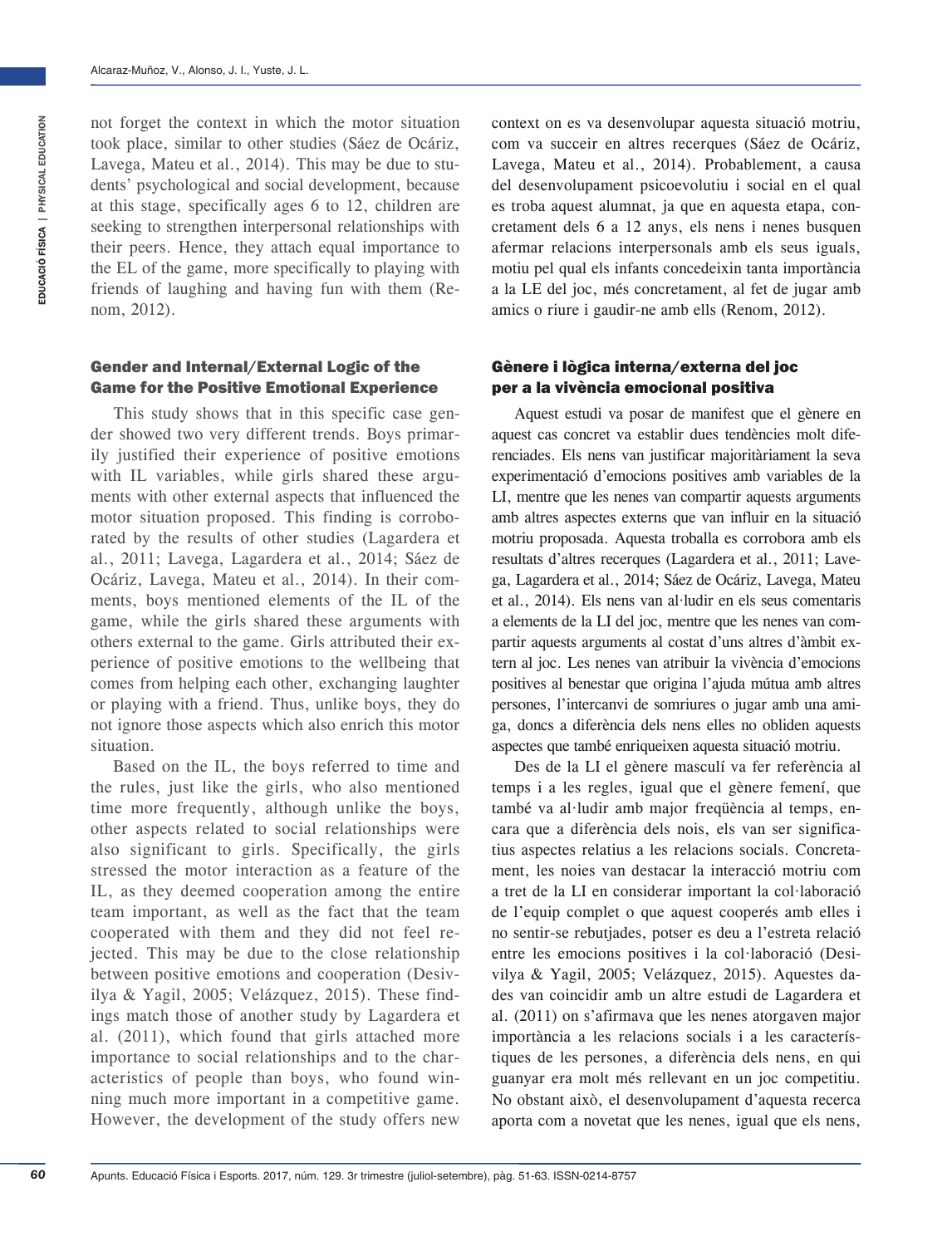not forget the context in which the motor situation took place, similar to other studies (Sáez de Ocáriz, Lavega, Mateu et al., 2014). This may be due to students' psychological and social development, because at this stage, specifically ages 6 to 12, children are seeking to strengthen interpersonal relationships with their peers. Hence, they attach equal importance to the EL of the game, more specifically to playing with friends of laughing and having fun with them (Renom, 2012).

#### Gender and Internal/External Logic of the Game for the Positive Emotional Experience

This study shows that in this specific case gender showed two very different trends. Boys primarily justified their experience of positive emotions with IL variables, while girls shared these arguments with other external aspects that influenced the motor situation proposed. This finding is corroborated by the results of other studies (Lagardera et al., 2011; Lavega, Lagardera et al., 2014; Sáez de Ocáriz, Lavega, Mateu et al., 2014). In their comments, boys mentioned elements of the IL of the game, while the girls shared these arguments with others external to the game. Girls attributed their experience of positive emotions to the wellbeing that comes from helping each other, exchanging laughter or playing with a friend. Thus, unlike boys, they do not ignore those aspects which also enrich this motor situation.

Based on the IL, the boys referred to time and the rules, just like the girls, who also mentioned time more frequently, although unlike the boys, other aspects related to social relationships were also significant to girls. Specifically, the girls stressed the motor interaction as a feature of the IL, as they deemed cooperation among the entire team important, as well as the fact that the team cooperated with them and they did not feel rejected. This may be due to the close relationship between positive emotions and cooperation (Desivilya & Yagil, 2005; Velázquez, 2015). These findings match those of another study by Lagardera et al. (2011), which found that girls attached more importance to social relationships and to the characteristics of people than boys, who found winning much more important in a competitive game. However, the development of the study offers new

context on es va desenvolupar aquesta situació motriu, com va succeir en altres recerques (Sáez de Ocáriz, Lavega, Mateu et al., 2014). Probablement, a causa del desenvolupament psicoevolutiu i social en el qual es troba aquest alumnat, ja que en aquesta etapa, concretament dels 6 a 12 anys, els nens i nenes busquen afermar relacions interpersonals amb els seus iguals, motiu pel qual els infants concedeixin tanta importància a la LE del joc, més concretament, al fet de jugar amb amics o riure i gaudir-ne amb ells (Renom, 2012).

## Gènere i lògica interna/externa del joc per a la vivència emocional positiva

Aquest estudi va posar de manifest que el gènere en aquest cas concret va establir dues tendències molt diferenciades. Els nens van justificar majoritàriament la seva experimentació d'emocions positives amb variables de la LI, mentre que les nenes van compartir aquests arguments amb altres aspectes externs que van influir en la situació motriu proposada. Aquesta troballa es corrobora amb els resultats d'altres recerques (Lagardera et al., 2011; Lavega, Lagardera et al., 2014; Sáez de Ocáriz, Lavega, Mateu et al., 2014). Els nens van al·ludir en els seus comentaris a elements de la LI del joc, mentre que les nenes van compartir aquests arguments al costat d'uns altres d'àmbit extern al joc. Les nenes van atribuir la vivència d'emocions positives al benestar que origina l'ajuda mútua amb altres persones, l'intercanvi de somriures o jugar amb una amiga, doncs a diferència dels nens elles no obliden aquests aspectes que també enriqueixen aquesta situació motriu.

Des de la LI el gènere masculí va fer referència al temps i a les regles, igual que el gènere femení, que també va al·ludir amb major freqüència al temps, encara que a diferència dels nois, els van ser significatius aspectes relatius a les relacions socials. Concretament, les noies van destacar la interacció motriu com a tret de la LI en considerar important la col·laboració de l'equip complet o que aquest cooperés amb elles i no sentir-se rebutjades, potser es deu a l'estreta relació entre les emocions positives i la col·laboració (Desivilya & Yagil, 2005; Velázquez, 2015). Aquestes dades van coincidir amb un altre estudi de Lagardera et al. (2011) on s'afirmava que les nenes atorgaven major importància a les relacions socials i a les característiques de les persones, a diferència dels nens, en qui guanyar era molt més rellevant en un joc competitiu. No obstant això, el desenvolupament d'aquesta recerca aporta com a novetat que les nenes, igual que els nens,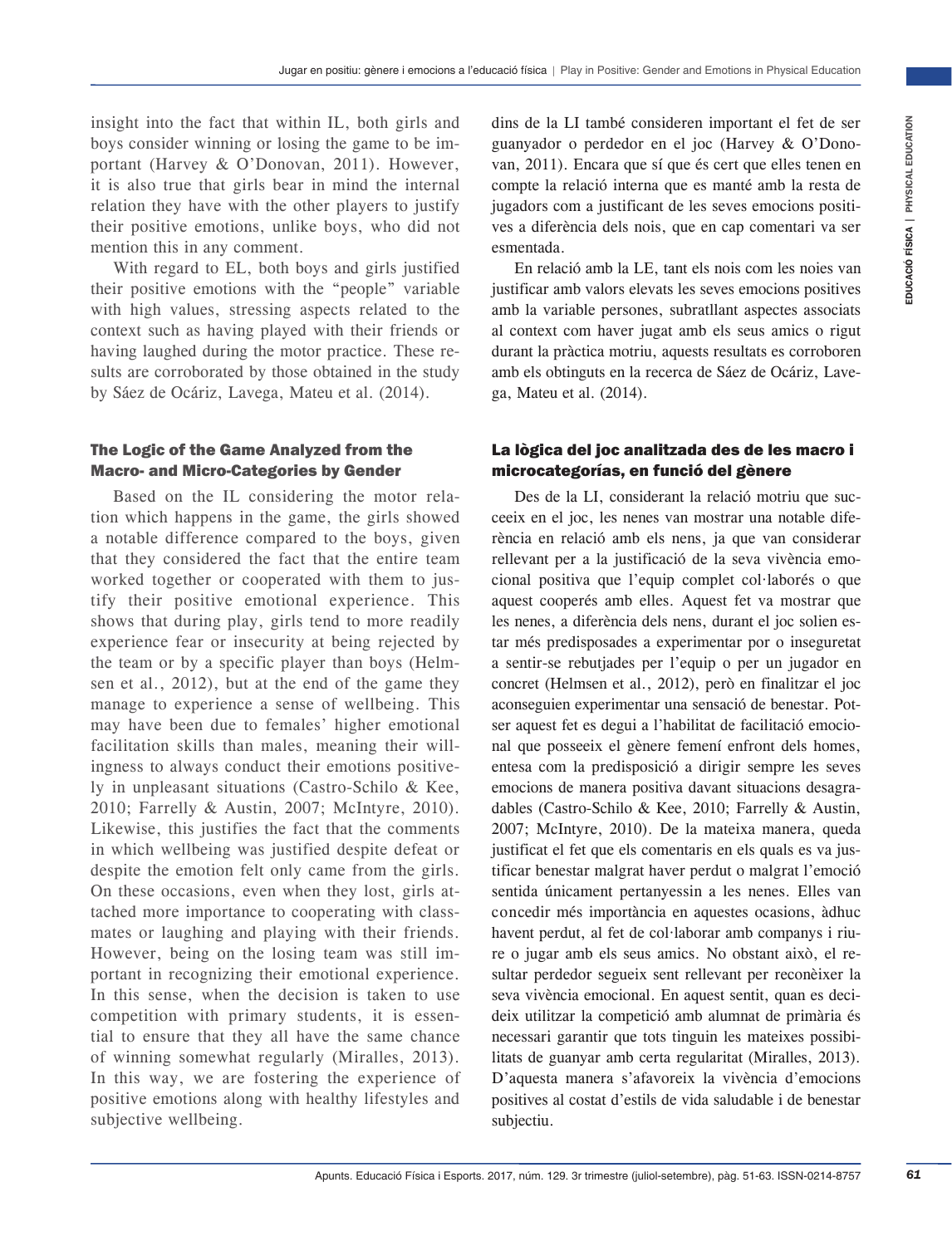insight into the fact that within IL, both girls and boys consider winning or losing the game to be important (Harvey & O'Donovan, 2011). However, it is also true that girls bear in mind the internal relation they have with the other players to justify their positive emotions, unlike boys, who did not mention this in any comment.

With regard to EL, both boys and girls justified their positive emotions with the "people" variable with high values, stressing aspects related to the context such as having played with their friends or having laughed during the motor practice. These results are corroborated by those obtained in the study by Sáez de Ocáriz, Lavega, Mateu et al. (2014).

## The Logic of the Game Analyzed from the Macro- and Micro-Categories by Gender

Based on the IL considering the motor relation which happens in the game, the girls showed a notable difference compared to the boys, given that they considered the fact that the entire team worked together or cooperated with them to justify their positive emotional experience. This shows that during play, girls tend to more readily experience fear or insecurity at being rejected by the team or by a specific player than boys (Helmsen et al., 2012), but at the end of the game they manage to experience a sense of wellbeing. This may have been due to females' higher emotional facilitation skills than males, meaning their willingness to always conduct their emotions positively in unpleasant situations (Castro-Schilo & Kee, 2010; Farrelly & Austin, 2007; McIntyre, 2010). Likewise, this justifies the fact that the comments in which wellbeing was justified despite defeat or despite the emotion felt only came from the girls. On these occasions, even when they lost, girls attached more importance to cooperating with classmates or laughing and playing with their friends. However, being on the losing team was still important in recognizing their emotional experience. In this sense, when the decision is taken to use competition with primary students, it is essential to ensure that they all have the same chance of winning somewhat regularly (Miralles, 2013). In this way, we are fostering the experience of positive emotions along with healthy lifestyles and subjective wellbeing.

dins de la LI també consideren important el fet de ser guanyador o perdedor en el joc (Harvey & O'Donovan, 2011). Encara que sí que és cert que elles tenen en compte la relació interna que es manté amb la resta de jugadors com a justificant de les seves emocions positives a diferència dels nois, que en cap comentari va ser esmentada.

En relació amb la LE, tant els nois com les noies van justificar amb valors elevats les seves emocions positives amb la variable persones, subratllant aspectes associats al context com haver jugat amb els seus amics o rigut durant la pràctica motriu, aquests resultats es corroboren amb els obtinguts en la recerca de Sáez de Ocáriz, Lavega, Mateu et al. (2014).

## La lògica del joc analitzada des de les macro i microcategorías, en funció del gènere

II., hoth the mean and direct is a mean and the set of set of set of set of set of set of set of set of set of set of set of set of set of set of the set of the set of the set of the set of the set of the set of the set o Des de la LI, considerant la relació motriu que succeeix en el joc, les nenes van mostrar una notable diferència en relació amb els nens, ja que van considerar rellevant per a la justificació de la seva vivència emocional positiva que l'equip complet col·laborés o que aquest cooperés amb elles. Aquest fet va mostrar que les nenes, a diferència dels nens, durant el joc solien estar més predisposades a experimentar por o inseguretat a sentir-se rebutjades per l'equip o per un jugador en concret (Helmsen et al., 2012), però en finalitzar el joc aconseguien experimentar una sensació de benestar. Potser aquest fet es degui a l'habilitat de facilitació emocional que posseeix el gènere femení enfront dels homes, entesa com la predisposició a dirigir sempre les seves emocions de manera positiva davant situacions desagradables (Castro-Schilo & Kee, 2010; Farrelly & Austin, 2007; McIntyre, 2010). De la mateixa manera, queda justificat el fet que els comentaris en els quals es va justificar benestar malgrat haver perdut o malgrat l'emoció sentida únicament pertanyessin a les nenes. Elles van concedir més importància en aquestes ocasions, àdhuc havent perdut, al fet de col·laborar amb companys i riure o jugar amb els seus amics. No obstant això, el resultar perdedor segueix sent rellevant per reconèixer la seva vivència emocional. En aquest sentit, quan es decideix utilitzar la competició amb alumnat de primària és necessari garantir que tots tinguin les mateixes possibilitats de guanyar amb certa regularitat (Miralles, 2013). D'aquesta manera s'afavoreix la vivència d'emocions positives al costat d'estils de vida saludable i de benestar subjectiu.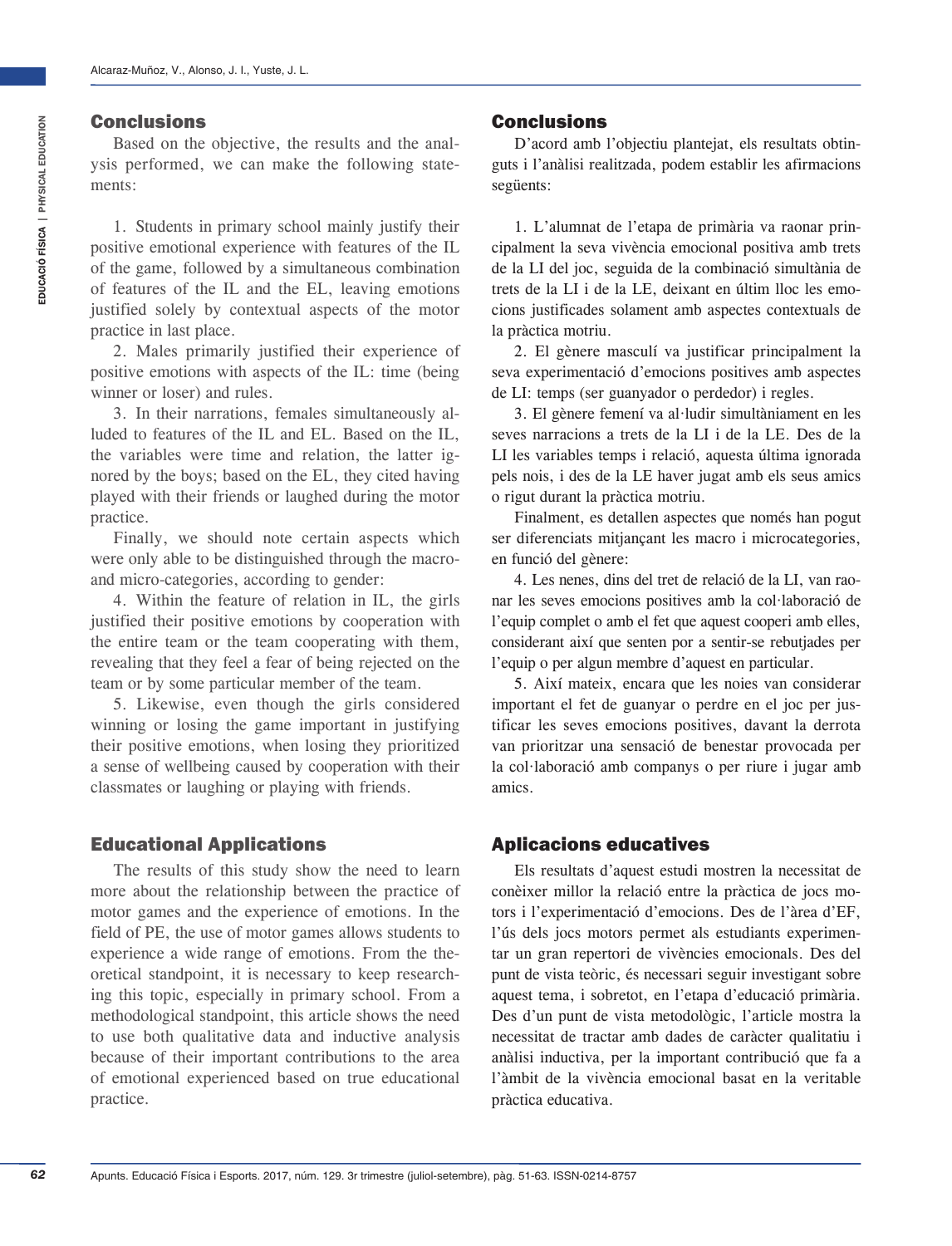#### Conclusions

Based on the objective, the results and the analysis performed, we can make the following statements:

1. Students in primary school mainly justify their positive emotional experience with features of the IL of the game, followed by a simultaneous combination of features of the IL and the EL, leaving emotions justified solely by contextual aspects of the motor practice in last place.

2. Males primarily justified their experience of positive emotions with aspects of the IL: time (being winner or loser) and rules.

3. In their narrations, females simultaneously alluded to features of the IL and EL. Based on the IL, the variables were time and relation, the latter ignored by the boys; based on the EL, they cited having played with their friends or laughed during the motor practice.

Finally, we should note certain aspects which were only able to be distinguished through the macroand micro-categories, according to gender:

4. Within the feature of relation in IL, the girls justified their positive emotions by cooperation with the entire team or the team cooperating with them, revealing that they feel a fear of being rejected on the team or by some particular member of the team.

5. Likewise, even though the girls considered winning or losing the game important in justifying their positive emotions, when losing they prioritized a sense of wellbeing caused by cooperation with their classmates or laughing or playing with friends.

## Educational Applications

The results of this study show the need to learn more about the relationship between the practice of motor games and the experience of emotions. In the field of PE, the use of motor games allows students to experience a wide range of emotions. From the theoretical standpoint, it is necessary to keep researching this topic, especially in primary school. From a methodological standpoint, this article shows the need to use both qualitative data and inductive analysis because of their important contributions to the area of emotional experienced based on true educational practice.

#### Conclusions

D'acord amb l'objectiu plantejat, els resultats obtinguts i l'anàlisi realitzada, podem establir les afirmacions següents:

1. L'alumnat de l'etapa de primària va raonar principalment la seva vivència emocional positiva amb trets de la LI del joc, seguida de la combinació simultània de trets de la LI i de la LE, deixant en últim lloc les emocions justificades solament amb aspectes contextuals de la pràctica motriu.

2. El gènere masculí va justificar principalment la seva experimentació d'emocions positives amb aspectes de LI: temps (ser guanyador o perdedor) i regles.

3. El gènere femení va al·ludir simultàniament en les seves narracions a trets de la LI i de la LE. Des de la LI les variables temps i relació, aquesta última ignorada pels nois, i des de la LE haver jugat amb els seus amics o rigut durant la pràctica motriu.

Finalment, es detallen aspectes que només han pogut ser diferenciats mitjançant les macro i microcategories, en funció del gènere:

4. Les nenes, dins del tret de relació de la LI, van raonar les seves emocions positives amb la col·laboració de l'equip complet o amb el fet que aquest cooperi amb elles, considerant així que senten por a sentir-se rebutjades per l'equip o per algun membre d'aquest en particular.

5. Així mateix, encara que les noies van considerar important el fet de guanyar o perdre en el joc per justificar les seves emocions positives, davant la derrota van prioritzar una sensació de benestar provocada per la col·laboració amb companys o per riure i jugar amb amics.

# Aplicacions educatives

Els resultats d'aquest estudi mostren la necessitat de conèixer millor la relació entre la pràctica de jocs motors i l'experimentació d'emocions. Des de l'àrea d'EF, l'ús dels jocs motors permet als estudiants experimentar un gran repertori de vivències emocionals. Des del punt de vista teòric, és necessari seguir investigant sobre aquest tema, i sobretot, en l'etapa d'educació primària. Des d'un punt de vista metodològic, l'article mostra la necessitat de tractar amb dades de caràcter qualitatiu i anàlisi inductiva, per la important contribució que fa a l'àmbit de la vivència emocional basat en la veritable pràctica educativa.